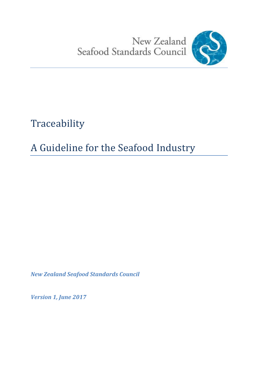New Zealand<br>Seafood Standards Council



Traceability

# A Guideline for the Seafood Industry

*New Zealand Seafood Standards Council* 

*Version 1, June 2017*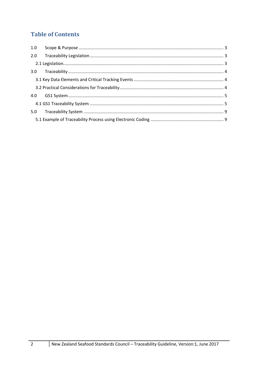# **Table of Contents**

| 1.0 |  |
|-----|--|
| 2.0 |  |
|     |  |
|     |  |
|     |  |
|     |  |
| 4.0 |  |
|     |  |
| 5.0 |  |
|     |  |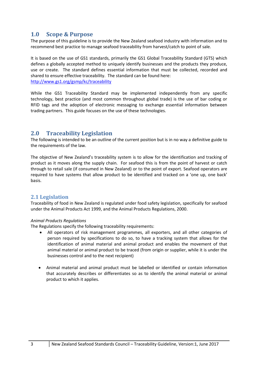# <span id="page-2-0"></span>**1.0 Scope & Purpose**

The purpose of this guideline is to provide the New Zealand seafood industry with information and to recommend best practice to manage seafood traceability from harvest/catch to point of sale.

It is based on the use of GS1 standards, primarily the GS1 Global Traceability Standard (GTS) which defines a globally accepted method to uniquely identify businesses and the products they produce, use or create. The standard defines essential information that must be collected, recorded and shared to ensure effective traceability. The standard can be found here: <http://www.gs1.org/gsmp/kc/traceability>

While the GS1 Traceability Standard may be implemented independently from any specific technology, best practice (and most common throughout global trade) is the use of bar coding or RFID tags and the adoption of electronic messaging to exchange essential information between trading partners. This guide focuses on the use of these technologies.

# <span id="page-2-1"></span>**2.0 Traceability Legislation**

The following is intended to be an outline of the current position but is in no way a definitive guide to the requirements of the law.

The objective of New Zealand's traceability system is to allow for the identification and tracking of product as it moves along the supply chain. For seafood this is from the point of harvest or catch through to retail sale (if consumed in New Zealand) or to the point of export. Seafood operators are required to have systems that allow product to be identified and tracked on a 'one up, one back' basis.

## <span id="page-2-2"></span>**2.1 Legislation**

Traceability of food in New Zealand is regulated under food safety legislation, specifically for seafood under the Animal Products Act 1999, and the Animal Products Regulations, 2000.

#### *Animal Products Regulations*

The Regulations specify the following traceability requirements:

- All operators of risk management programmes, all exporters, and all other categories of person required by specifications to do so, to have a tracking system that allows for the identification of animal material and animal product and enables the movement of that animal material or animal product to be traced (from origin or supplier, while it is under the businesses control and to the next recipient)
- Animal material and animal product must be labelled or identified or contain information that accurately describes or differentiates so as to identify the animal material or animal product to which it applies.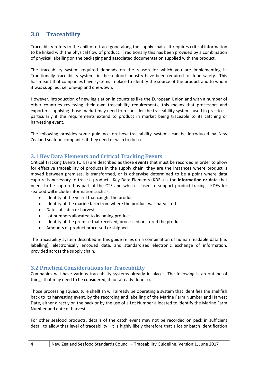# <span id="page-3-0"></span>**3.0 Traceability**

Traceability refers to the ability to trace good along the supply chain. It requires critical information to be linked with the physical flow of product. Traditionally this has been provided by a combination of physical labelling on the packaging and associated documentation supplied with the product.

The traceability system required depends on the reason for which you are implementing it. Traditionally traceability systems in the seafood industry have been required for food safety. This has meant that companies have systems in place to identify the source of the product and to whom it was supplied, i.e. one-up and one-down.

However, introduction of new legislation in countries like the European Union and with a number of other countries reviewing their own traceability requirements, this means that processors and exporters supplying those market may need to reconsider the traceability systems used in practice – particularly if the requirements extend to product in market being traceable to its catching or harvesting event.

The following provides some guidance on how traceability systems can be introduced by New Zealand seafood companies if they need or wish to do so.

## <span id="page-3-1"></span>**3.1 Key Data Elements and Critical Tracking Events**

Critical Tracking Events (CTEs) are described as those **events** that must be recorded in order to allow for effective traceability of products in the supply chain, they are the instances where product is moved between premises, is transformed, or is otherwise determined to be a point where data capture is necessary to trace a product. Key Data Elements (KDEs) is the **information or data** that needs to be captured as part of the CTE and which is used to support product tracing. KDEs for seafood will include information such as:

- Identity of the vessel that caught the product
- Identity of the marine farm from where the product was harvested
- Dates of catch or harvest
- Lot numbers allocated to incoming product
- Identity of the premise that received, processed or stored the product
- Amounts of product processed or shipped

The traceability system described in this guide relies on a combination of human readable data (i.e. labelling), electronically encoded data, and standardised electronic exchange of information, provided across the supply chain.

## <span id="page-3-2"></span>**3.2 Practical Considerations for Traceability**

Companies will have various traceability systems already in place. The following is an outline of things that may need to be considered, if not already done so.

Those processing aquaculture shellfish will already be operating a system that identifies the shellfish back to its harvesting event, by the recording and labelling of the Marine Farm Number and Harvest Date, either directly on the pack or by the use of a Lot Number allocated to identify the Marine Farm Number and date of harvest.

For other seafood products, details of the catch event may not be recorded on pack in sufficient detail to allow that level of traceability. It is highly likely therefore that a lot or batch identification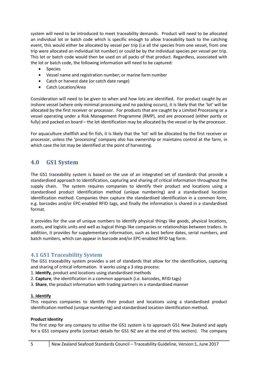system will need to be introduced to meet traceability demands. Product will need to be allocated an individual lot or batch code which is specific enough to allow traceability back to the catching event, this would either be allocated by vessel per trip (i.e all the species from one vessel, from one trip were allocated an individual lot number) or could be by the individual species per vessel per trip. This lot or batch code would then be used on all packs of that product. Regardless, associated with the lot or batch code, the following information will need to be captured:

- Species
- Vessel name and registration number; or marine farm number
- Catch or harvest date (or catch date range)
- Catch Location/Area

Consideration will need to be given to when and how lots are identified. For product caught by an inshore vessel (where only minimal processing and no packing occurs), it is likely that the 'lot' will be allocated by the first receiver or processor. For products that are caught by a Limited Processing or a vessel operating under a Risk Management Programme (RMP), and are processed (either partly or fully) and packed on board – the lot identification may be allocated by the vessel or by the processor.

For aquaculture shellfish and fin fish, it is likely that the 'lot' will be allocated by the first receiver or processor, unless the 'processing' company also has ownership or maintains control at the farm, in which case the lot may be identified at the point of harvesting.

# <span id="page-4-0"></span>**4.0 GS1 System**

The GS1 traceability system is based on the use of an integrated set of standards that provide a standardised approach to identification, capturing and sharing of critical information throughout the supply chain. The system requires companies to identify their product and locations using a standardised product identification method (unique numbering) and a standardised location identification method. Companies then capture the standardised identification in a common form, e.g. barcodes and/or EPC-enabled RFID tags, and finally the information is shared in a standardised format.

It provides for the use of unique numbers to identify physical things like goods, physical locations, assets, and logistic units and well as logical things like companies or relationships between traders. In addition, it provides for supplementary information, such as best before dates, serial numbers, and batch numbers, which can appear in barcode and/or EPC-enabled RFID tag form.

### <span id="page-4-1"></span>**4.1 GS1 Traceability System**

The GS1 traceability system provides a set of standards that allow for the identification, capturing and sharing of critical information. It works using a 3 step process:

- 1. **Identify**, product and locations using standardised methods
- 2. **Capture**, the identification in a common approach (i.e. barcodes, RFID tags)
- 3. **Share**, the product information with trading partners in a standardised manner

#### **1. Identify**

This requires companies to identify their product and locations using a standardised product identification method (unique numbering) and standardised location identification method**.**

#### **Product Identity**

The first step for any company to utilise the GS1 system is to approach GS1 New Zealand and apply for a GS1 company prefix (contact details for GS1 NZ are at the end of this section). The company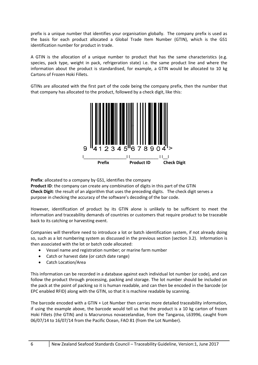prefix is a unique number that identifies your organisation globally. The company prefix is used as the basis for each product allocated a Global Trade Item Number (GTIN), which is the GS1 identification number for product in trade.

A GTIN is the allocation of a unique number to product that has the same characteristics (e.g. species, pack type, weight in pack, refrigeration state) i.e. the same product line and where the information about the product is standardised, for example, a GTIN would be allocated to 10 kg Cartons of Frozen Hoki Fillets.

GTINs are allocated with the first part of the code being the company prefix, then the number that that company has allocated to the product, followed by a check digit, like this:



**Prefix**: allocated to a company by GS1, identifies the company

**Product ID**: the company can create any combination of digits in this part of the GTIN **Check Digit**: the result of an algorithm that uses the preceding digits. The check digit serves a purpose in checking the accuracy of the software's decoding of the bar code.

However, identification of product by its GTIN alone is unlikely to be sufficient to meet the information and traceability demands of countries or customers that require product to be traceable back to its catching or harvesting event.

Companies will therefore need to introduce a lot or batch identification system, if not already doing so, such as a lot numbering system as discussed in the previous section (section 3.2). Information is then associated with the lot or batch code allocated:

- Vessel name and registration number; or marine farm number
- Catch or harvest date (or catch date range)
- Catch Location/Area

This information can be recorded in a database against each individual lot number (or code), and can follow the product through processing, packing and storage. The lot number should be included on the pack at the point of packing so it is human readable, and can then be encoded in the barcode (or EPC enabled RFID) along with the GTIN, so that it is machine readable by scanning.

The barcode encoded with a GTIN + Lot Number then carries more detailed traceability information, if using the example above, the barcode would tell us that the product is a 10 kg carton of frozen Hoki Fillets (the GTIN) and is Macruronus novaezelandiae, from the Tangaroa, L63996, caught from 06/07/14 to 16/07/14 from the Pacific Ocean, FAO 81 (from the Lot Number).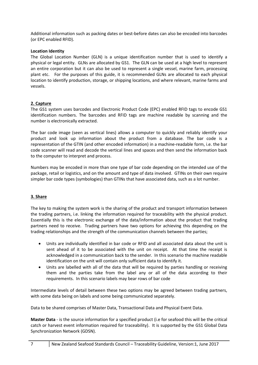Additional information such as packing dates or best-before dates can also be encoded into barcodes (or EPC enabled RFID).

#### **Location Identity**

The Global Location Number (GLN) is a unique identification number that is used to identify a physical or legal entity. GLNs are allocated by GS1. The GLN can be used at a high level to represent an entire corporation but it can also be used to represent a single vessel, marine farm, processing plant etc. For the purposes of this guide, it is recommended GLNs are allocated to each physical location to identify production, storage, or shipping locations, and where relevant, marine farms and vessels.

#### **2. Capture**

The GS1 system uses barcodes and Electronic Product Code (EPC) enabled RFID tags to encode GS1 identification numbers. The barcodes and RFID tags are machine readable by scanning and the number is electronically extracted.

The bar code image (seen as vertical lines) allows a computer to quickly and reliably identify your product and look up information about the product from a database. The bar code is a representation of the GTIN (and other encoded information) in a machine-readable form, i.e. the bar code scanner will read and decode the vertical lines and spaces and then send the information back to the computer to interpret and process.

Numbers may be encoded in more than one type of bar code depending on the intended use of the package, retail or logistics, and on the amount and type of data involved. GTINs on their own require simpler bar code types (symbologies) than GTINs that have associated data, such as a lot number.

#### **3. Share**

The key to making the system work is the sharing of the product and transport information between the trading partners, i.e. linking the information required for traceability with the physical product. Essentially this is the electronic exchange of the data/information about the product that trading partners need to receive. Trading partners have two options for achieving this depending on the trading relationships and the strength of the communication channels between the parties;

- Units are individually identified in bar code or RFID and all associated data about the unit is sent ahead of it to be associated with the unit on receipt. At that time the receipt is acknowledged in a communication back to the sender. In this scenario the machine readable identification on the unit will contain only sufficient data to identify it.
- Units are labelled with all of the data that will be required by parties handling or receiving them and the parties take from the label any or all of the data according to their requirements. In this scenario labels may bear rows of bar code

Intermediate levels of detail between these two options may be agreed between trading partners, with some data being on labels and some being communicated separately.

Data to be shared comprises of Master Data, Transactional Data and Physical Event Data.

**Master Data** - is the source information for a specified product (i.e for seafood this will be the critical catch or harvest event information required for traceability). It is supported by the GS1 Global Data Synchronization Network (GDSN).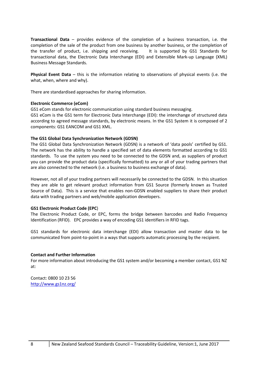**Transactional Data** – provides evidence of the completion of a business transaction, i.e. the completion of the sale of the product from one business by another business, or the completion of the transfer of product, i.e. shipping and receiving. It is supported by GS1 Standards for transactional data, the Electronic Data Interchange (EDI) and Extensible Mark-up Language (XML) Business Message Standards.

**Physical Event Data** – this is the information relating to observations of physical events (i.e. the what, when, where and why).

There are standardised approaches for sharing information.

#### **Electronic Commerce (eCom)**

GS1 eCom stands for electronic communication using standard business messaging. GS1 eCom is the GS1 term for Electronic Data Interchange (EDI): the interchange of structured data according to agreed message standards, by electronic means. In the GS1 System it is composed of 2 components: GS1 EANCOM and GS1 XML.

#### **The GS1 Global Data Synchronization Network (GDSN)**

The GS1 Global Data Synchronization Network (GDSN) is a network of 'data pools' certified by GS1. The network has the ability to handle a specified set of data elements formatted according to GS1 standards. To use the system you need to be connected to the GDSN and, as suppliers of product you can provide the product data (specifically formatted) to any or all of your trading partners that are also connected to the network (i.e. a business to business exchange of data).

However, not all of your trading partners will necessarily be connected to the GDSN. In this situation they are able to get relevant product information from GS1 Source (formerly known as Trusted Source of Data). This is a service that enables non-GDSN enabled suppliers to share their product data with trading partners and web/mobile application developers.

#### **GS1 Electronic Product Code (EPC**)

The Electronic Product Code, or EPC, forms the bridge between barcodes and Radio Frequency Identification (RFID). EPC provides a way of encoding GS1 identifiers in RFID tags.

GS1 standards for electronic data interchange (EDI) allow transaction and master data to be communicated from point-to-point in a ways that supports automatic processing by the recipient.

#### **Contact and Further Information**

For more information about introducing the GS1 system and/or becoming a member contact, GS1 NZ at:

Contact: 0800 10 23 56 <http://www.gs1nz.org/>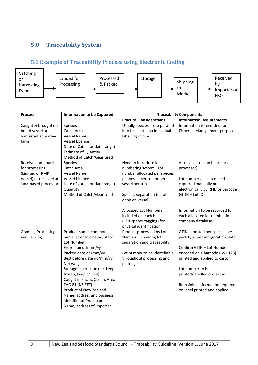# <span id="page-8-0"></span>**5.0 Traceability System**

# <span id="page-8-1"></span>**5.1 Example of Traceability Process using Electronic Coding**



| <b>Process</b>         | <b>Information to be Captured</b> | <b>Traceability Components</b>                       |                                                                |  |
|------------------------|-----------------------------------|------------------------------------------------------|----------------------------------------------------------------|--|
|                        |                                   | <b>Practical Considerations</b>                      | <b>Information Requirements</b>                                |  |
| Caught & brought on    | <b>Species</b>                    | Usually species are separated                        | Information is recorded for                                    |  |
| board vessel or        | Catch Area                        | into bins but - no individual                        | <b>Fisheries Management purposes</b>                           |  |
| harvested at marine    | <b>Vessel Name</b>                | labelling of bins                                    |                                                                |  |
| farm                   | <b>Vessel Licence</b>             |                                                      |                                                                |  |
|                        | Date of Catch (or date range)     |                                                      |                                                                |  |
|                        | <b>Estimate of Quantity</b>       |                                                      |                                                                |  |
|                        | Method of Catch/Gear used         |                                                      |                                                                |  |
| Received on-board      | Species                           | Need to introduce lot                                | At receiver (i.e on board or at                                |  |
| for processing         | Catch Area                        | numbering system. Lot                                | processor):                                                    |  |
| (Limited or RMP        | <b>Vessel Name</b>                | number allocated per species                         |                                                                |  |
| Vessel) or received at | Vessel Licence                    | per vessel per trip or per                           | Lot number allocated and                                       |  |
| land-based processor   | Date of Catch (or date range)     | vessel per trip.<br>captured manually or             |                                                                |  |
|                        | Quantity                          |                                                      | electronically by RFID or Barcode                              |  |
|                        | Method of Catch/Gear used         | Species separation (if not                           | $(GTIN + LotID)$                                               |  |
|                        |                                   | done on vessel)                                      |                                                                |  |
|                        |                                   |                                                      |                                                                |  |
|                        |                                   | <b>Allocated Lot Numbers</b><br>included on each bin | Information to be recorded for<br>each allocated lot number in |  |
|                        |                                   |                                                      |                                                                |  |
|                        |                                   | (RFID/paper tagging) for<br>physical identification  | company database.                                              |  |
| Grading, Processing    | Product name (common              | Product processed by Lot                             | GTIN allocated per species per                                 |  |
| and Packing            | name, scientific name, state)     | Number - ensuring lot                                | pack type per refrigeration state                              |  |
|                        | Lot Number                        | separation and traceability                          |                                                                |  |
|                        | Frozen on dd/mm/yy                |                                                      | Confirm GTIN + Lot Number                                      |  |
|                        | Packed date dd/mm/yy              | Lot number to be identifiable                        | encoded on a barcode (GS1 128)                                 |  |
|                        | Best before date dd/mm/yy         | throughout processing and                            | printed and applied to carton.                                 |  |
|                        | Net weight                        | packing                                              |                                                                |  |
|                        | Storage instruction (i.e. keep    |                                                      | Lot number to be                                               |  |
|                        | frozen, keep chilled)             |                                                      | printed/labelled on carton                                     |  |
|                        | Caught in Pacific Ocean, Area     |                                                      |                                                                |  |
|                        | FAO 81 (NZ EEZ)                   |                                                      | Remaining information required                                 |  |
|                        | Product of New Zealand            |                                                      | on label printed and applied.                                  |  |
|                        | Name, address and business        |                                                      |                                                                |  |
|                        | identifier of Processor           |                                                      |                                                                |  |
|                        | Name, address of Importer         |                                                      |                                                                |  |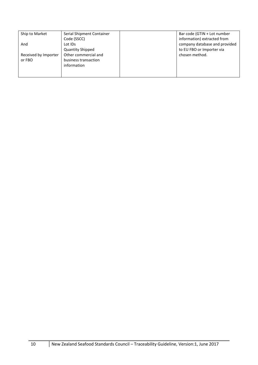| Ship to Market       | Serial Shipment Container | Bar code (GTIN + Lot number   |
|----------------------|---------------------------|-------------------------------|
|                      | Code (SSCC)               | information) extracted from   |
| And                  | Lot IDs                   | company database and provided |
|                      | <b>Quantity Shipped</b>   | to EU FBO or Importer via     |
| Received by Importer | Other commercial and      | chosen method.                |
| or FBO               | business transaction      |                               |
|                      | information               |                               |
|                      |                           |                               |
|                      |                           |                               |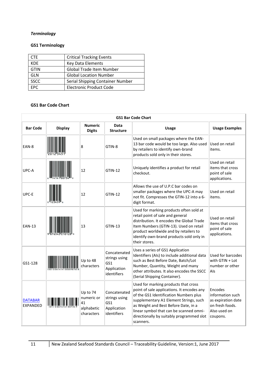## *Terminology*

#### **GS1 Terminology**

| <b>CTE</b>  | <b>Critical Tracking Events</b>  |  |
|-------------|----------------------------------|--|
| <b>KDE</b>  | <b>Key Data Elements</b>         |  |
| <b>GTIN</b> | Global Trade Item Number         |  |
| GLN         | <b>Global Location Number</b>    |  |
| <b>SSCC</b> | Serial Shipping Container Number |  |
| <b>FPC</b>  | <b>Electronic Product Code</b>   |  |

#### **GS1 Bar Code Chart**

| <b>GS1 Bar Code Chart</b>         |                |                                                          |                                                                    |                                                                                                                                                                                                                                                                                                                     |                                                                                                  |
|-----------------------------------|----------------|----------------------------------------------------------|--------------------------------------------------------------------|---------------------------------------------------------------------------------------------------------------------------------------------------------------------------------------------------------------------------------------------------------------------------------------------------------------------|--------------------------------------------------------------------------------------------------|
| <b>Bar Code</b>                   | <b>Display</b> | <b>Numeric</b><br><b>Digits</b>                          | <b>Data</b><br><b>Structure</b>                                    | <b>Usage</b>                                                                                                                                                                                                                                                                                                        | <b>Usage Examples</b>                                                                            |
| EAN-8                             |                | 8                                                        | GTIN-8                                                             | Used on small packages where the EAN-<br>13 bar code would be too large. Also used<br>by retailers to identify own-brand<br>products sold only in their stores.                                                                                                                                                     | Used on retail<br>items.                                                                         |
| UPC-A                             |                | 12                                                       | <b>GTIN-12</b>                                                     | Uniquely identifies a product for retail<br>checkout.                                                                                                                                                                                                                                                               | Used on retail<br>items that cross<br>point of sale<br>applications.                             |
| UPC-E                             |                | 12                                                       | GTIN-12                                                            | Allows the use of U.P.C bar codes on<br>smaller packages where the UPC-A may<br>not fit. Compresses the GTIN-12 into a 6-<br>digit format.                                                                                                                                                                          | Used on retail<br>items.                                                                         |
| <b>EAN-13</b>                     |                | 13                                                       | <b>GTIN-13</b>                                                     | Used for marking products often sold at<br>retail point of sale and general<br>distribution. It encodes the Global Trade<br>Item Numbers (GTIN-13). Used on retail<br>product worldwide and by retailers to<br>identify own-brand products sold only in<br>their stores.                                            | Used on retail<br>items that cross<br>point of sale<br>applications.                             |
| GS1-128                           |                | Up to 48<br>characters                                   | Concatenated<br>strings using<br>GS1<br>Application<br>identifiers | Uses a series of GS1 Application<br>Identifiers (AIs) to include additional data<br>such as Best Before Date, Batch/Lot<br>Number, Quantity, Weight and many<br>other attributes. It also encodes the SSCC<br>(Serial Shipping Container).                                                                          | Used for barcodes<br>with GTIN + Lot<br>number or other<br>Als                                   |
| <b>DATABAR</b><br><b>EXPANDED</b> |                | Up to 74<br>numeric or<br>41<br>alphabetic<br>characters | Concatenated<br>strings using<br>GS1<br>Application<br>identifiers | Used for marking products that cross<br>point of sale applications. It encodes any<br>of the GS1 Identification Numbers plus<br>supplementary A1 Element Strings, such<br>as Weight and Best Before Date, in a<br>linear symbol that can be scanned omni-<br>directionally by suitably programmed slot<br>scanners. | Encodes<br>information such<br>as expiration date<br>on fresh foods.<br>Also used on<br>coupons. |